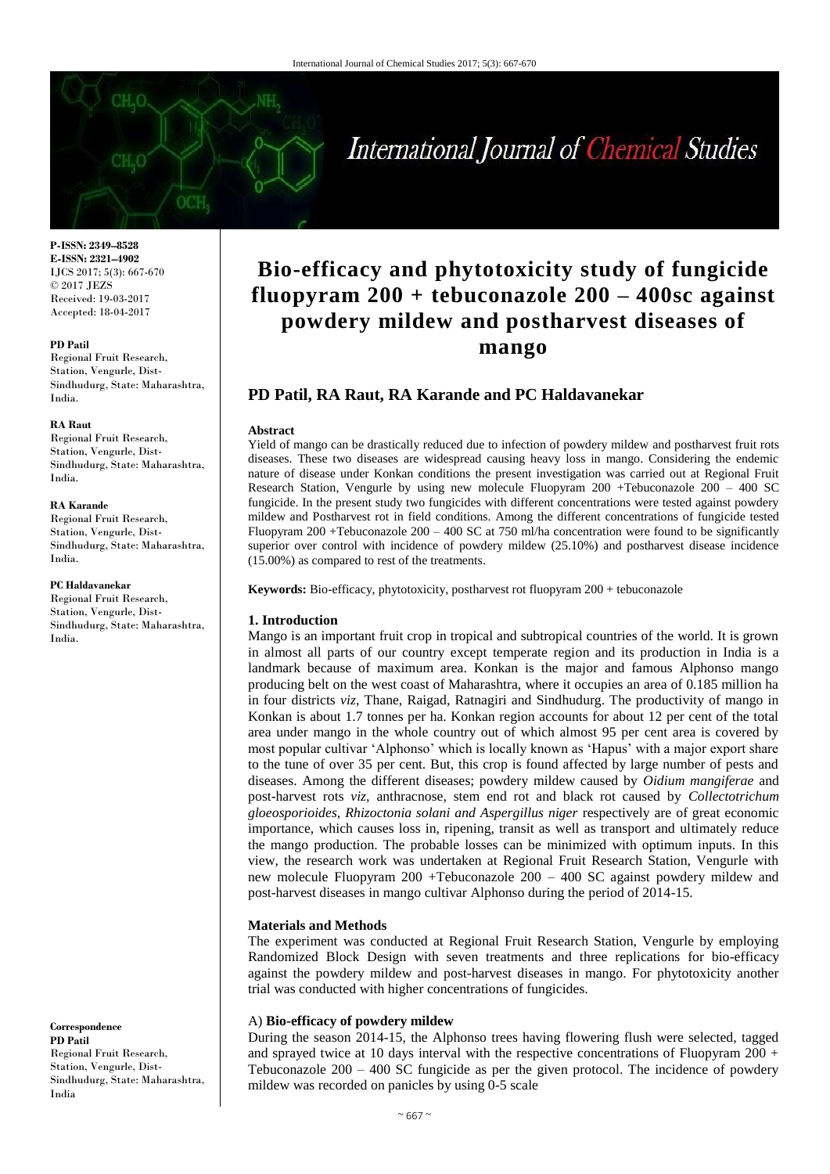# International Journal of Chemical Studies

**P-ISSN: 2349–8528 E-ISSN: 2321–4902** IJCS 2017; 5(3): 667-670 © 2017 JEZS Received: 19-03-2017 Accepted: 18-04-2017

#### **PD Patil**

Regional Fruit Research, Station, Vengurle, Dist-Sindhudurg, State: Maharashtra, India.

#### **RA Raut**

Regional Fruit Research, Station, Vengurle, Dist-Sindhudurg, State: Maharashtra, India.

#### **RA Karande**

Regional Fruit Research, Station, Vengurle, Dist-Sindhudurg, State: Maharashtra, India.

#### **PC Haldavanekar**

Regional Fruit Research, Station, Vengurle, Dist-Sindhudurg, State: Maharashtra, India.

**Correspondence PD Patil** Regional Fruit Research, Station, Vengurle, Dist-Sindhudurg, State: Maharashtra, India

## **Bio-efficacy and phytotoxicity study of fungicide fluopyram 200 + tebuconazole 200 – 400sc against powdery mildew and postharvest diseases of mango**

### **PD Patil, RA Raut, RA Karande and PC Haldavanekar**

#### **Abstract**

Yield of mango can be drastically reduced due to infection of powdery mildew and postharvest fruit rots diseases. These two diseases are widespread causing heavy loss in mango. Considering the endemic nature of disease under Konkan conditions the present investigation was carried out at Regional Fruit Research Station, Vengurle by using new molecule Fluopyram 200 +Tebuconazole 200 – 400 SC fungicide. In the present study two fungicides with different concentrations were tested against powdery mildew and Postharvest rot in field conditions. Among the different concentrations of fungicide tested Fluopyram 200 +Tebuconazole  $200 - 400$  SC at 750 ml/ha concentration were found to be significantly superior over control with incidence of powdery mildew (25.10%) and postharvest disease incidence (15.00%) as compared to rest of the treatments.

**Keywords:** Bio-efficacy, phytotoxicity, postharvest rot fluopyram 200 + tebuconazole

#### **1. Introduction**

Mango is an important fruit crop in tropical and subtropical countries of the world. It is grown in almost all parts of our country except temperate region and its production in India is a landmark because of maximum area. Konkan is the major and famous Alphonso mango producing belt on the west coast of Maharashtra, where it occupies an area of 0.185 million ha in four districts *viz*, Thane, Raigad, Ratnagiri and Sindhudurg. The productivity of mango in Konkan is about 1.7 tonnes per ha. Konkan region accounts for about 12 per cent of the total area under mango in the whole country out of which almost 95 per cent area is covered by most popular cultivar 'Alphonso' which is locally known as 'Hapus' with a major export share to the tune of over 35 per cent. But, this crop is found affected by large number of pests and diseases. Among the different diseases; powdery mildew caused by *Oidium mangiferae* and post-harvest rots *viz*, anthracnose, stem end rot and black rot caused by *Collectotrichum gloeosporioides, Rhizoctonia solani and Aspergillus niger* respectively are of great economic importance, which causes loss in, ripening, transit as well as transport and ultimately reduce the mango production. The probable losses can be minimized with optimum inputs. In this view, the research work was undertaken at Regional Fruit Research Station, Vengurle with new molecule Fluopyram 200 +Tebuconazole 200 – 400 SC against powdery mildew and post-harvest diseases in mango cultivar Alphonso during the period of 2014-15.

#### **Materials and Methods**

The experiment was conducted at Regional Fruit Research Station, Vengurle by employing Randomized Block Design with seven treatments and three replications for bio-efficacy against the powdery mildew and post-harvest diseases in mango. For phytotoxicity another trial was conducted with higher concentrations of fungicides.

#### A) **Bio-efficacy of powdery mildew**

During the season 2014-15, the Alphonso trees having flowering flush were selected, tagged and sprayed twice at 10 days interval with the respective concentrations of Fluopyram 200 + Tebuconazole 200 – 400 SC fungicide as per the given protocol. The incidence of powdery mildew was recorded on panicles by using 0-5 scale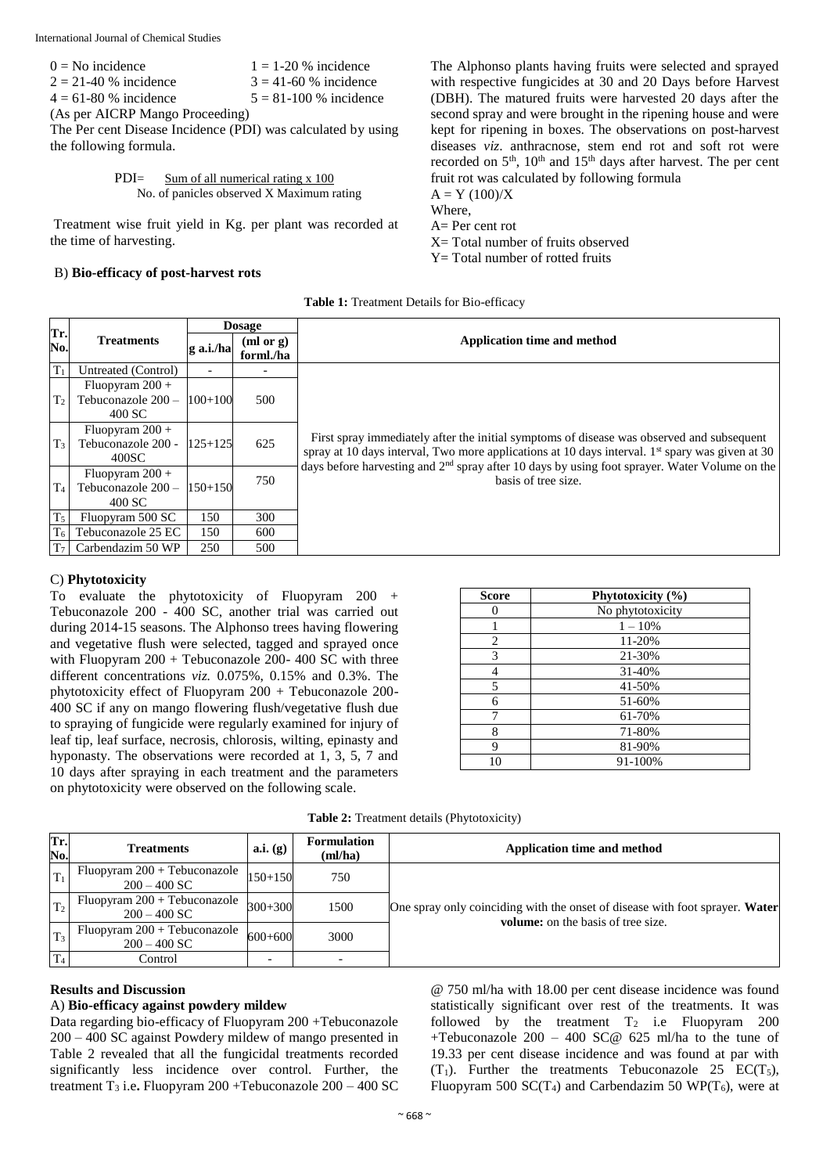| $0 = No$ incidence        | $1 = 1-20$ % incidence     |
|---------------------------|----------------------------|
| $2 = 21-40$ % incidence   | $3 = 41 - 60$ % incidence  |
| $4 = 61 - 80$ % incidence | $5 = 81 - 100$ % incidence |
|                           |                            |

(As per AICRP Mango Proceeding)

The Per cent Disease Incidence (PDI) was calculated by using the following formula.

PDI= Sum of all numerical rating x 100 No. of panicles observed X Maximum rating

Treatment wise fruit yield in Kg. per plant was recorded at the time of harvesting.

#### B) **Bio-efficacy of post-harvest rots**

The Alphonso plants having fruits were selected and sprayed with respective fungicides at 30 and 20 Days before Harvest (DBH). The matured fruits were harvested 20 days after the second spray and were brought in the ripening house and were kept for ripening in boxes. The observations on post-harvest diseases *viz*. anthracnose, stem end rot and soft rot were recorded on  $5<sup>th</sup>$ ,  $10<sup>th</sup>$  and  $15<sup>th</sup>$  days after harvest. The per cent fruit rot was calculated by following formula  $A = Y (100)/X$ Where,

A= Per cent rot  $X=$  Total number of fruits observed  $Y = Total number of rotated fruits$ 

| Table 1: Treatment Details for Bio-efficacy |  |  |
|---------------------------------------------|--|--|
|---------------------------------------------|--|--|

| Tr.            |                                                   |             | <b>Dosage</b>          |                                                                                                                                                                                                                                                                                                             |
|----------------|---------------------------------------------------|-------------|------------------------|-------------------------------------------------------------------------------------------------------------------------------------------------------------------------------------------------------------------------------------------------------------------------------------------------------------|
| No.            | <b>Treatments</b>                                 | g a.i./ha   | (ml or g)<br>forml./ha | Application time and method                                                                                                                                                                                                                                                                                 |
| $T_1$          | Untreated (Control)                               | ۰           |                        |                                                                                                                                                                                                                                                                                                             |
| T <sub>2</sub> | Fluopyram $200 +$<br>Tebuconazole 200 -<br>400 SC | $100+100$   | 500                    |                                                                                                                                                                                                                                                                                                             |
| T <sub>3</sub> | Fluopyram $200 +$<br>Tebuconazole 200 -<br>400SC  | $125 + 125$ | 625                    | First spray immediately after the initial symptoms of disease was observed and subsequent<br>spray at 10 days interval, Two more applications at 10 days interval. 1 <sup>st</sup> spary was given at 30<br>days before harvesting and $2nd$ spray after 10 days by using foot sprayer. Water Volume on the |
| T <sub>4</sub> | Fluopyram $200 +$<br>Tebuconazole 200-<br>400 SC  | $150 + 150$ | 750                    | basis of tree size.                                                                                                                                                                                                                                                                                         |
| T <sub>5</sub> | Fluopyram 500 SC                                  | 150         | 300                    |                                                                                                                                                                                                                                                                                                             |
| T <sub>6</sub> | Tebuconazole 25 EC                                | 150         | 600                    |                                                                                                                                                                                                                                                                                                             |
| T <sub>7</sub> | Carbendazim 50 WP                                 | 250         | 500                    |                                                                                                                                                                                                                                                                                                             |

#### C) **Phytotoxicity**

To evaluate the phytotoxicity of Fluopyram 200 + Tebuconazole 200 - 400 SC, another trial was carried out during 2014-15 seasons. The Alphonso trees having flowering and vegetative flush were selected, tagged and sprayed once with Fluopyram 200 + Tebuconazole 200- 400 SC with three different concentrations *viz.* 0.075%, 0.15% and 0.3%. The phytotoxicity effect of Fluopyram 200 + Tebuconazole 200- 400 SC if any on mango flowering flush/vegetative flush due to spraying of fungicide were regularly examined for injury of leaf tip, leaf surface, necrosis, chlorosis, wilting, epinasty and hyponasty. The observations were recorded at 1, 3, 5, 7 and 10 days after spraying in each treatment and the parameters on phytotoxicity were observed on the following scale.

| <b>Score</b> | Phytotoxicity (%) |
|--------------|-------------------|
| 0            | No phytotoxicity  |
|              | $1 - 10%$         |
| 2            | 11-20%            |
| 3            | 21-30%            |
| 4            | 31-40%            |
| 5            | 41-50%            |
| 6            | 51-60%            |
| 7            | 61-70%            |
| 8            | 71-80%            |
| 9            | 81-90%            |
| 10           | 91-100%           |

**Table 2:** Treatment details (Phytotoxicity)

| Tr.<br>No.     | <b>Treatments</b>                              | a.i. (g)    | <b>Formulation</b><br>(ml/ha) | <b>Application time and method</b>                                           |
|----------------|------------------------------------------------|-------------|-------------------------------|------------------------------------------------------------------------------|
|                | Fluopyram 200 + Tebuconazole<br>$200 - 400$ SC | $150 + 150$ | 750                           |                                                                              |
| T <sub>2</sub> | Fluopyram 200 + Tebuconazole<br>$200 - 400$ SC | 300+300     | 1500                          | One spray only coinciding with the onset of disease with foot sprayer. Water |
| $T_3$          | Fluopyram 200 + Tebuconazole<br>$200 - 400$ SC | $600 + 600$ | 3000                          | <b>volume:</b> on the basis of tree size.                                    |
| T <sub>4</sub> | Control                                        |             |                               |                                                                              |

#### **Results and Discussion**

#### A) **Bio-efficacy against powdery mildew**

Data regarding bio-efficacy of Fluopyram 200 +Tebuconazole 200 – 400 SC against Powdery mildew of mango presented in Table 2 revealed that all the fungicidal treatments recorded significantly less incidence over control. Further, the treatment T<sup>3</sup> i.e**.** Fluopyram 200 +Tebuconazole 200 – 400 SC

@ 750 ml/ha with 18.00 per cent disease incidence was found statistically significant over rest of the treatments. It was followed by the treatment  $T_2$  i.e Fluopyram 200 +Tebuconazole  $200 - 400$  SC@ 625 ml/ha to the tune of 19.33 per cent disease incidence and was found at par with  $(T_1)$ . Further the treatments Tebuconazole 25 EC(T<sub>5</sub>), Fluopyram 500 SC(T<sub>4</sub>) and Carbendazim 50 WP(T<sub>6</sub>), were at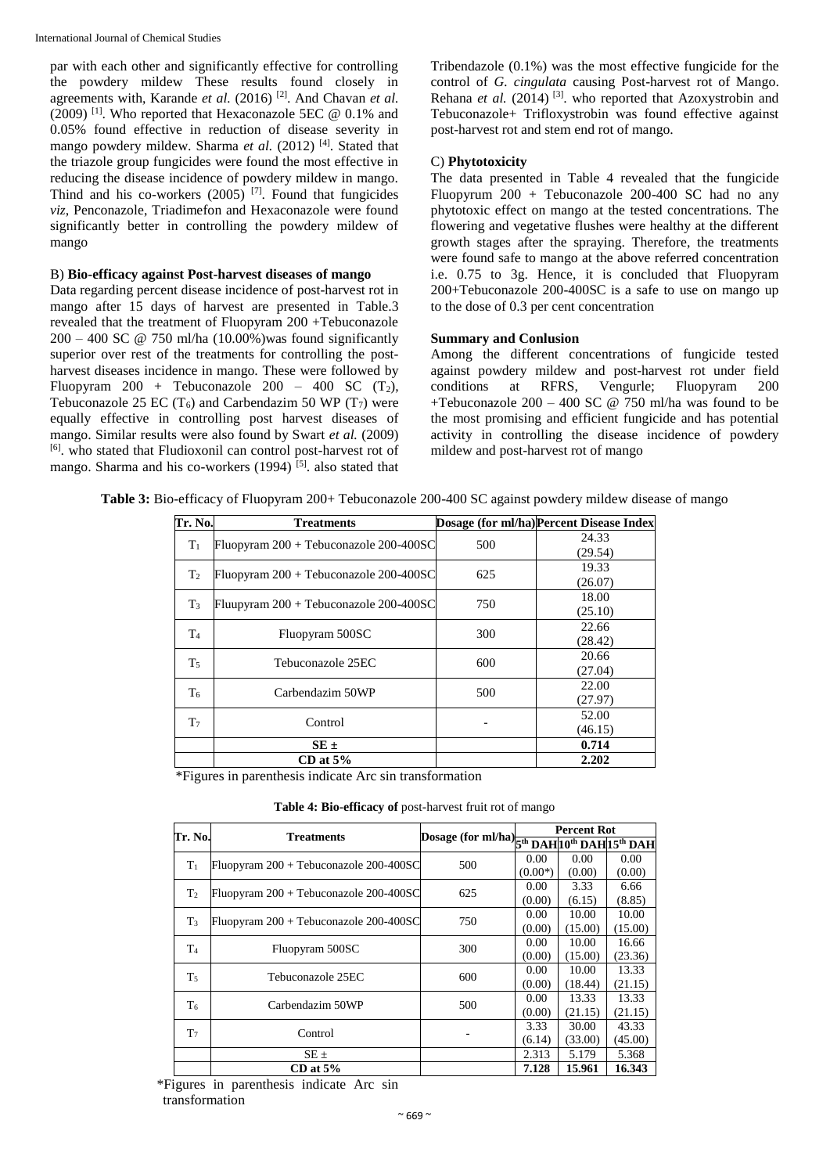par with each other and significantly effective for controlling the powdery mildew These results found closely in agreements with, Karande *et al.* (2016) [2] . And Chavan *et al.* (2009) [1]. Who reported that Hexaconazole 5EC @ 0.1% and 0.05% found effective in reduction of disease severity in mango powdery mildew. Sharma et al. (2012)<sup>[4]</sup>. Stated that the triazole group fungicides were found the most effective in reducing the disease incidence of powdery mildew in mango. Thind and his co-workers  $(2005)$ <sup>[7]</sup>. Found that fungicides *viz*, Penconazole, Triadimefon and Hexaconazole were found significantly better in controlling the powdery mildew of mango

#### B) **Bio-efficacy against Post-harvest diseases of mango**

Data regarding percent disease incidence of post-harvest rot in mango after 15 days of harvest are presented in Table.3 revealed that the treatment of Fluopyram 200 +Tebuconazole  $200 - 400$  SC @ 750 ml/ha (10.00%) was found significantly superior over rest of the treatments for controlling the postharvest diseases incidence in mango. These were followed by Fluopyram  $200 +$  Tebuconazole  $200 - 400$  SC  $(T_2)$ , Tebuconazole 25 EC  $(T_6)$  and Carbendazim 50 WP  $(T_7)$  were equally effective in controlling post harvest diseases of mango. Similar results were also found by Swart *et al.* (2009) [6] . who stated that Fludioxonil can control post-harvest rot of mango. Sharma and his co-workers (1994)<sup>[5]</sup>. also stated that Tribendazole (0.1%) was the most effective fungicide for the control of *G. cingulata* causing Post-harvest rot of Mango. Rehana *et al.* (2014)<sup>[3]</sup>. who reported that Azoxystrobin and Tebuconazole+ Trifloxystrobin was found effective against post-harvest rot and stem end rot of mango.

#### C) **Phytotoxicity**

The data presented in Table 4 revealed that the fungicide Fluopyrum 200 + Tebuconazole 200-400 SC had no any phytotoxic effect on mango at the tested concentrations. The flowering and vegetative flushes were healthy at the different growth stages after the spraying. Therefore, the treatments were found safe to mango at the above referred concentration i.e. 0.75 to 3g. Hence, it is concluded that Fluopyram 200+Tebuconazole 200-400SC is a safe to use on mango up to the dose of 0.3 per cent concentration

#### **Summary and Conlusion**

Among the different concentrations of fungicide tested against powdery mildew and post-harvest rot under field conditions at RFRS, Vengurle; Fluopyram 200 +Tebuconazole  $200 - 400$  SC @ 750 ml/ha was found to be the most promising and efficient fungicide and has potential activity in controlling the disease incidence of powdery mildew and post-harvest rot of mango

| Tr. No.        | <b>Treatments</b>                      |     | Dosage (for ml/ha) Percent Disease Index |
|----------------|----------------------------------------|-----|------------------------------------------|
| $T_1$          |                                        | 500 | 24.33                                    |
|                | Fluopyram 200 + Tebuconazole 200-400SC |     | (29.54)                                  |
| T <sub>2</sub> | Fluopyram 200 + Tebuconazole 200-400SC | 625 | 19.33                                    |
|                |                                        |     | (26.07)                                  |
| $T_3$          | Fluupyram 200 + Tebuconazole 200-400SC | 750 | 18.00                                    |
|                |                                        |     | (25.10)                                  |
| $T_{4}$        | Fluopyram 500SC                        | 300 | 22.66                                    |
|                |                                        |     | (28.42)                                  |
| $T_5$          | Tebuconazole 25EC                      | 600 | 20.66                                    |
|                |                                        |     | (27.04)                                  |
| T6             | Carbendazim 50WP                       | 500 | 22.00                                    |
|                |                                        |     | (27.97)                                  |
| T <sub>7</sub> | Control                                |     | 52.00                                    |
|                |                                        |     | (46.15)                                  |
|                | $SE \pm$                               |     | 0.714                                    |
|                | $CD$ at 5%                             |     | 2.202                                    |

**Table 3:** Bio-efficacy of Fluopyram 200+ Tebuconazole 200-400 SC against powdery mildew disease of mango

\*Figures in parenthesis indicate Arc sin transformation

**Table 4: Bio-efficacy of** post-harvest fruit rot of mango

| Tr. No.        | <b>Treatments</b>                             |                                              | <b>Percent Rot</b> |         |         |  |  |  |  |  |
|----------------|-----------------------------------------------|----------------------------------------------|--------------------|---------|---------|--|--|--|--|--|
|                |                                               | Dosage (for ml/ha) 5th DAH 10th DAH 15th DAH |                    |         |         |  |  |  |  |  |
| $T_1$          | Fluopyram 200 + Tebuconazole 200-400SC        | 500                                          | 0.00               | 0.00    | 0.00    |  |  |  |  |  |
|                |                                               |                                              | $(0.00*)$          | (0.00)  | (0.00)  |  |  |  |  |  |
| T <sub>2</sub> | Fluopyram 200 + Tebuconazole 200-400SC        | 625                                          | 0.00               | 3.33    | 6.66    |  |  |  |  |  |
|                |                                               |                                              | (0.00)             | (6.15)  | (8.85)  |  |  |  |  |  |
| T <sub>3</sub> | Fluopyram $200 +$ Tebuconazole $200 - 400$ SC | 750                                          | 0.00               | 10.00   | 10.00   |  |  |  |  |  |
|                |                                               |                                              | (0.00)             | (15.00) | (15.00) |  |  |  |  |  |
| T <sub>4</sub> | Fluopyram 500SC                               | 300                                          | 0.00               | 10.00   | 16.66   |  |  |  |  |  |
|                |                                               |                                              | (0.00)             | (15.00) | (23.36) |  |  |  |  |  |
| T <sub>5</sub> | Tebuconazole 25EC                             | 600                                          | 0.00               | 10.00   | 13.33   |  |  |  |  |  |
|                |                                               |                                              | (0.00)             | (18.44) | (21.15) |  |  |  |  |  |
| T <sub>6</sub> | Carbendazim 50WP                              | 500                                          | 0.00               | 13.33   | 13.33   |  |  |  |  |  |
|                |                                               |                                              | (0.00)             | (21.15) | (21.15) |  |  |  |  |  |
| T <sub>7</sub> | Control                                       |                                              | 3.33               | 30.00   | 43.33   |  |  |  |  |  |
|                |                                               |                                              | (6.14)             | (33.00) | (45.00) |  |  |  |  |  |
|                | $SE \pm$                                      |                                              | 2.313              | 5.179   | 5.368   |  |  |  |  |  |
|                | $CD$ at 5%                                    |                                              | 7.128              | 15.961  | 16.343  |  |  |  |  |  |

\*Figures in parenthesis indicate Arc sin transformation